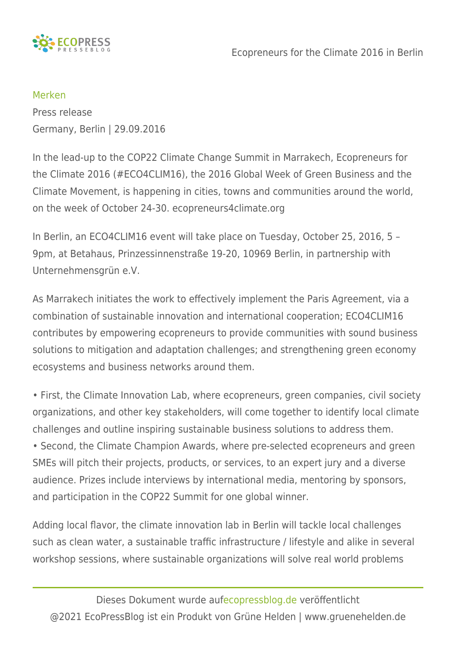

## [Merken](https://www.ecopressblog.de/javascript:void(0);) Press release

Germany, Berlin | 29.09.2016

In the lead-up to the COP22 Climate Change Summit in Marrakech, Ecopreneurs for the Climate 2016 (#ECO4CLIM16), the 2016 Global Week of Green Business and the Climate Movement, is happening in cities, towns and communities around the world, on the week of October 24-30. ecopreneurs4climate.org

In Berlin, an ECO4CLIM16 event will take place on Tuesday, October 25, 2016, 5 – 9pm, at Betahaus, Prinzessinnenstraße 19-20, 10969 Berlin, in partnership with Unternehmensgrün e.V.

As Marrakech initiates the work to effectively implement the Paris Agreement, via a combination of sustainable innovation and international cooperation; ECO4CLIM16 contributes by empowering ecopreneurs to provide communities with sound business solutions to mitigation and adaptation challenges; and strengthening green economy ecosystems and business networks around them.

• First, the Climate Innovation Lab, where ecopreneurs, green companies, civil society organizations, and other key stakeholders, will come together to identify local climate challenges and outline inspiring sustainable business solutions to address them.

• Second, the Climate Champion Awards, where pre-selected ecopreneurs and green SMEs will pitch their projects, products, or services, to an expert jury and a diverse audience. Prizes include interviews by international media, mentoring by sponsors, and participation in the COP22 Summit for one global winner.

Adding local flavor, the climate innovation lab in Berlin will tackle local challenges such as clean water, a sustainable traffic infrastructure / lifestyle and alike in several workshop sessions, where sustainable organizations will solve real world problems